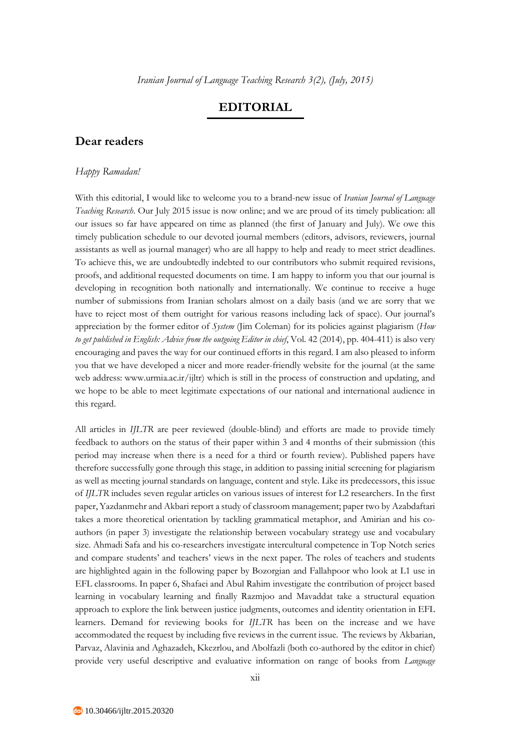## **EDITORIAL**

## **Dear readers**

## *Happy Ramadan!*

With this editorial, I would like to welcome you to a brand-new issue of *Iranian Journal of Language Teaching Research*. Our July 2015 issue is now online; and we are proud of its timely publication: all our issues so far have appeared on time as planned (the first of January and July). We owe this timely publication schedule to our devoted journal members (editors, advisors, reviewers, journal assistants as well as journal manager) who are all happy to help and ready to meet strict deadlines. To achieve this, we are undoubtedly indebted to our contributors who submit required revisions, proofs, and additional requested documents on time. I am happy to inform you that our journal is developing in recognition both nationally and internationally. We continue to receive a huge number of submissions from Iranian scholars almost on a daily basis (and we are sorry that we have to reject most of them outright for various reasons including lack of space). Our journal's appreciation by the former editor of *System* (Jim Coleman) for its policies against plagiarism (*How to get published in English: Advice from the outgoing Editor in chief*, Vol. 42 (2014), pp. 404-411) is also very encouraging and paves the way for our continued efforts in this regard. I am also pleased to inform you that we have developed a nicer and more reader-friendly website for the journal (at the same web address: www.urmia.ac.ir/ijltr) which is still in the process of construction and updating, and we hope to be able to meet legitimate expectations of our national and international audience in this regard.

All articles in *IJLTR* are peer reviewed (double-blind) and efforts are made to provide timely feedback to authors on the status of their paper within 3 and 4 months of their submission (this period may increase when there is a need for a third or fourth review). Published papers have therefore successfully gone through this stage, in addition to passing initial screening for plagiarism as well as meeting journal standards on language, content and style. Like its predecessors, this issue of *IJLTR* includes seven regular articles on various issues of interest for L2 researchers. In the first paper, Yazdanmehr and Akbari report a study of classroom management; paper two by Azabdaftari takes a more theoretical orientation by tackling grammatical metaphor, and Amirian and his coauthors (in paper 3) investigate the relationship between vocabulary strategy use and vocabulary size. Ahmadi Safa and his co-researchers investigate intercultural competence in Top Notch series and compare students' and teachers' views in the next paper. The roles of teachers and students are highlighted again in the following paper by Bozorgian and Fallahpoor who look at L1 use in EFL classrooms. In paper 6, Shafaei and Abul Rahim investigate the contribution of project based learning in vocabulary learning and finally Razmjoo and Mavaddat take a structural equation approach to explore the link between justice judgments, outcomes and identity orientation in EFL learners. Demand for reviewing books for *IJLTR* has been on the increase and we have accommodated the request by including five reviews in the current issue. The reviews by Akbarian, Parvaz, Alavinia and Aghazadeh, Kkezrlou, and Abolfazli (both co-authored by the editor in chief) provide very useful descriptive and evaluative information on range of books from *Language*